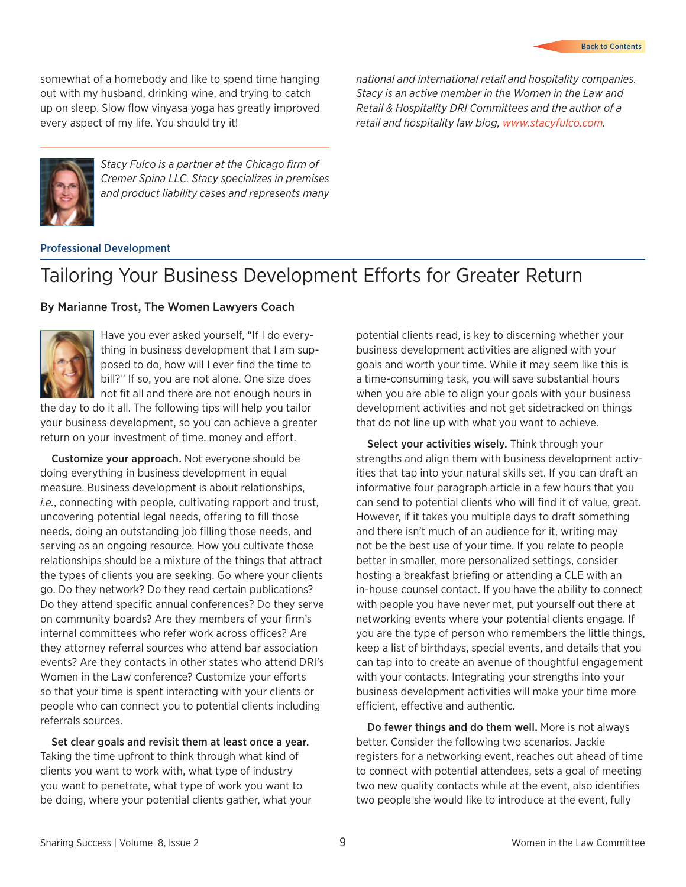somewhat of a homebody and like to spend time hanging out with my husband, drinking wine, and trying to catch up on sleep. Slow flow vinyasa yoga has greatly improved every aspect of my life. You should try it!

*national and international retail and hospitality companies. Stacy is an active member in the Women in the Law and Retail & Hospitality DRI Committees and the author of a retail and hospitality law blog, www.stacyfulco.com.*



*Stacy Fulco is a partner at the Chicago firm of Cremer Spina LLC. Stacy specializes in premises and product liability cases and represents many* 

#### Professional Development

## Tailoring Your Business Development Efforts for Greater Return

### By Marianne Trost, The Women Lawyers Coach



Have you ever asked yourself, "If I do everything in business development that I am supposed to do, how will I ever find the time to bill?" If so, you are not alone. One size does not fit all and there are not enough hours in

the day to do it all. The following tips will help you tailor your business development, so you can achieve a greater return on your investment of time, money and effort.

Customize your approach. Not everyone should be doing everything in business development in equal measure. Business development is about relationships, *i.e.*, connecting with people, cultivating rapport and trust, uncovering potential legal needs, ofering to fill those needs, doing an outstanding job filling those needs, and serving as an ongoing resource. How you cultivate those relationships should be a mixture of the things that attract the types of clients you are seeking. Go where your clients go. Do they network? Do they read certain publications? Do they attend specific annual conferences? Do they serve on community boards? Are they members of your firm's internal committees who refer work across offices? Are they attorney referral sources who attend bar association events? Are they contacts in other states who attend DRI's Women in the Law conference? Customize your efforts so that your time is spent interacting with your clients or people who can connect you to potential clients including referrals sources.

Set clear goals and revisit them at least once a year. Taking the time upfront to think through what kind of clients you want to work with, what type of industry you want to penetrate, what type of work you want to be doing, where your potential clients gather, what your potential clients read, is key to discerning whether your business development activities are aligned with your goals and worth your time. While it may seem like this is a time-consuming task, you will save substantial hours when you are able to align your goals with your business development activities and not get sidetracked on things that do not line up with what you want to achieve.

Select your activities wisely. Think through your strengths and align them with business development activities that tap into your natural skills set. If you can draft an informative four paragraph article in a few hours that you can send to potential clients who will find it of value, great. However, if it takes you multiple days to draft something and there isn't much of an audience for it, writing may not be the best use of your time. If you relate to people better in smaller, more personalized settings, consider hosting a breakfast briefing or attending a CLE with an in-house counsel contact. If you have the ability to connect with people you have never met, put yourself out there at networking events where your potential clients engage. If you are the type of person who remembers the little things, keep a list of birthdays, special events, and details that you can tap into to create an avenue of thoughtful engagement with your contacts. Integrating your strengths into your business development activities will make your time more efficient, effective and authentic.

Do fewer things and do them well. More is not always better. Consider the following two scenarios. Jackie registers for a networking event, reaches out ahead of time to connect with potential attendees, sets a goal of meeting two new quality contacts while at the event, also identifies two people she would like to introduce at the event, fully